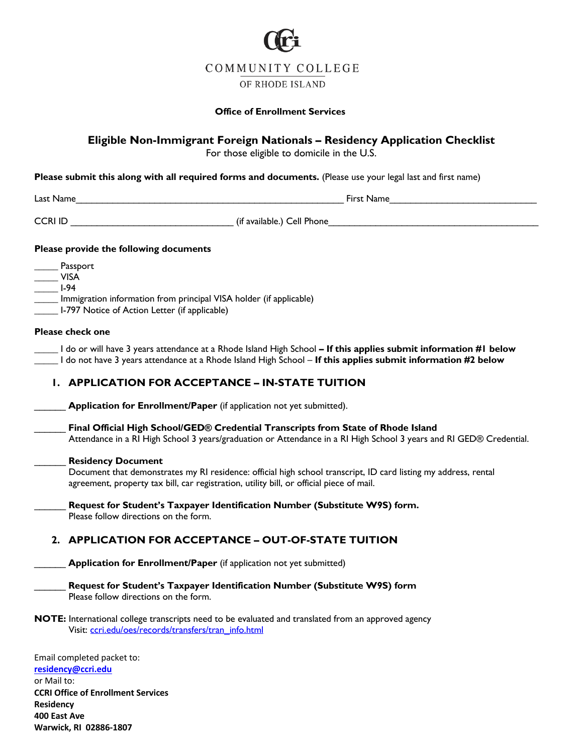

## **Office of Enrollment Services**

## **Eligible Non-Immigrant Foreign Nationals – Residency Application Checklist**

For those eligible to domicile in the U.S.

**Please submit this along with all required forms and documents.** (Please use your legal last and first name)

| Last Name |  |  |  |
|-----------|--|--|--|
|-----------|--|--|--|

Last Name That Name  $Fix$  is  $N$  ame

CCRI ID \_\_\_\_\_\_\_\_\_\_\_\_\_\_\_\_\_\_\_\_\_\_\_\_\_\_\_\_\_\_\_ (if available.) Cell Phone\_\_\_\_\_\_\_\_\_\_\_\_\_\_\_\_\_\_\_\_\_\_\_\_\_\_\_\_\_\_\_\_\_\_\_\_\_\_\_\_

## **Please provide the following documents**

| Passport                                                           |
|--------------------------------------------------------------------|
| VISA                                                               |
| I-94                                                               |
| Immigration information from principal VISA holder (if applicable) |
| I-797 Notice of Action Letter (if applicable)                      |

## **Please check one**

**\_\_\_\_\_** I do or will have 3 years attendance at a Rhode Island High School **– If this applies submit information #1 below \_\_\_\_\_** I do not have 3 years attendance at a Rhode Island High School – **If this applies submit information #2 below**

## **1. APPLICATION FOR ACCEPTANCE – IN-STATE TUITION**

\_\_\_\_\_\_ **Application for Enrollment/Paper** (if application not yet submitted).

\_\_\_\_\_\_ **Final Official High School/GED® Credential Transcripts from State of Rhode Island** Attendance in a RI High School 3 years/graduation or Attendance in a RI High School 3 years and RI GED® Credential.

### \_\_\_\_\_\_ **Residency Document**

 Document that demonstrates my RI residence: official high school transcript, ID card listing my address, rental agreement, property tax bill, car registration, utility bill, or official piece of mail.

\_\_\_\_\_\_ **Request for Student's Taxpayer Identification Number (Substitute W9S) form.** Please follow directions on the form.

## **2. APPLICATION FOR ACCEPTANCE – OUT-OF-STATE TUITION**

**\_\_\_\_ Application for Enrollment/Paper** (if application not yet submitted)

\_\_\_\_\_\_ **Request for Student's Taxpayer Identification Number (Substitute W9S) form** Please follow directions on the form.

**NOTE:** International college transcripts need to be evaluated and translated from an approved agency Visit: [ccri.edu/oes/records/transfers/tran\\_info.html](https://www.ccri.edu/oes/records/transfers/tran_info.html) 

Email completed packet to: **[residency@ccri.edu](Mailto:residency@ccri.edu)**  or Mail to: **CCRI Office of Enrollment Services Residency 400 East Ave Warwick, RI 02886-1807**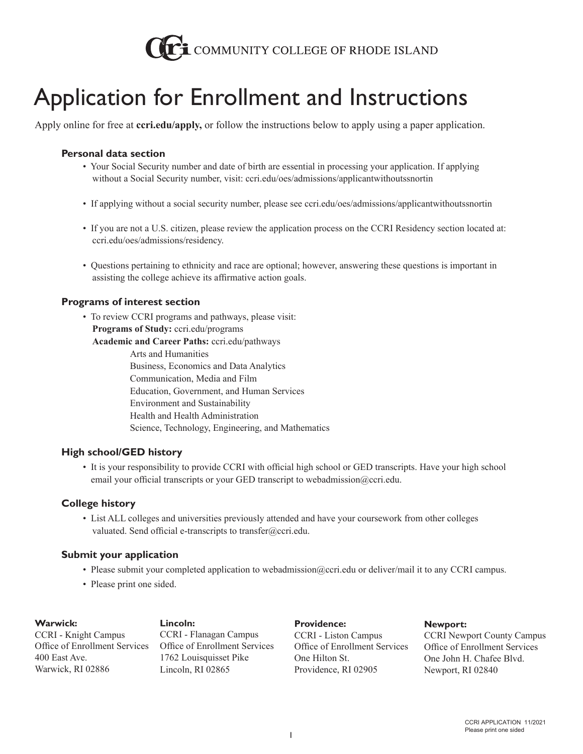

# Application for Enrollment and Instructions

Apply online for free at **ccri.edu/apply,** or follow the instructions below to apply using a paper application.

## **Personal data section**

- Your Social Security number and date of birth are essential in processing your application. If applying without a Social Security number, visit: [ccri.edu/oes/admissions/applicantwithoutssnortin](https://www.ccri.edu/oes/admissions/applicantwithoutssnortin)
- If applying without a social security number, please see [ccri.edu/oes/admissions/applicantwithoutssnortin](https://www.ccri.edu/oes/admissions/applicantwithoutssnortin)
- If you are not a U.S. citizen, please review the application process on the CCRI Residency section located at: [ccri.edu/oes/admissions/residency.](https://www.ccri.edu/oes/admissions/residency)
- Questions pertaining to ethnicity and race are optional; however, answering these questions is important in assisting the college achieve its affirmative action goals.

## **Programs of interest section**

• To review CCRI programs and pathways, please visit: **Programs of Study:** [ccri.edu/programs](https://www.ccri.edu/programs) **Academic and Career Paths:** [ccri.edu/pathways](https://www.ccri.edu/pathways) Arts and Humanities Business, Economics and Data Analytics Communication, Media and Film Education, Government, and Human Services Environment and Sustainability Health and Health Administration Science, Technology, Engineering, and Mathematics

## **High school/GED history**

• It is your responsibility to provide CCRI with official high school or GED transcripts. Have your high school email your official transcripts or your GED transcript to [webadmission@ccri.edu.](Mailto:webadmission@ccri.edu)

## **College history**

• List ALL colleges and universities previously attended and have your coursework from other colleges valuated. Send official e-transcripts to [transfer@ccri.edu.](Mailto:transfer@ccri.edu)

## **Submit your application**

- Please submit your completed application to [webadmission@ccri.edu](Mailto:webadmission@ccri.edu) or deliver/mail it to any CCRI campus.
- Please print one sided.

## **Warwick: Lincoln:**  CCRI - Knight Campus Office of Enrollment Services 400 East Ave. Warwick, RI 02886

CCRI - Flanagan Campus Office of Enrollment Services 1762 Louisquisset Pike Lincoln, RI 02865

**Providence:** CCRI - Liston Campus Office of Enrollment Services One Hilton St. Providence, RI 02905

**Newport:**

CCRI Newport County Campus Office of Enrollment Services One John H. Chafee Blvd. Newport, RI 02840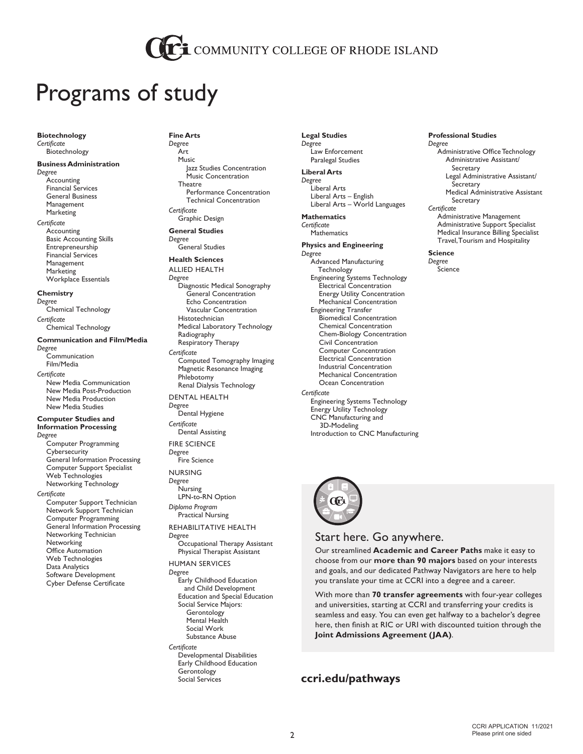## COMMUNITY COLLEGE OF RHODE ISLAND

## Programs of study

**Biotechnology** *Certificate* Biotechnology

## **Business Administration**

*Degree* Accounting Financial Services General Business Management Marketing

*Certificate* Accounting Basic Accounting Skills Entrepreneurship Financial Services Management **Marketing** Workplace Essentials

#### **Chemistry**

*Degree* Chemical Technology *Certificate*

Chemical Technology

### **Communication and Film/Media**

*Degree* **Communication** Film/Media *Certificate*

New Media Communication New Media Post-Production New Media Production New Media Studies

#### **Computer Studies and Information Processing** *Degree*

Computer Programming **Cybersecurity** General Information Processing Computer Support Specialist Web Technologies Networking Technology

*Certificate* Computer Support Technician Network Support Technician Computer Programming General Information Processing Networking Technician **Networking** Office Automation Web Technologies Data Analytics Software Development Cyber Defense Certificate

**Fine Arts** *Degree* Art Music Jazz Studies Concentration Music Concentration **Theatre** Performance Concentration Technical Concentration *Certificate* Graphic Design **General Studies** *Degree*

General Studies **Health Sciences** ALLIED HEALTH

*Degree* Diagnostic Medical Sonography General Concentration Echo Concentration Vascular Concentration Histotechnician Medical Laboratory Technology Radiography Respiratory Therapy *Certificate* Computed Tomography Imaging Magnetic Resonance Imaging Phlebotomy Renal Dialysis Technology DENTAL HEALTH *Degree* Dental Hygiene

*Certificate* Dental Assisting

FIRE SCIENCE *Degree* Fire Science

NURSING *Degree* Nursing LPN-to-RN Option *Diploma Program* Practical Nursing

REHABILITATIVE HEALTH *Degree* Occupational Therapy Assistant

Physical Therapist Assistant

HUMAN SERVICES *Degree* Early Childhood Education and Child Development Education and Special Education Social Service Majors: Gerontology Mental Health Social Work

Substance Abuse *Certificate* Developmental Disabilities Early Childhood Education **Gerontology** Social Services

**Legal Studies** *Degree* Law Enforcement Paralegal Studies

**Liberal Arts** *Degree* Liberal Arts Liberal Arts – English Liberal Arts – World Languages

#### **Mathematics** *Certificate* **Mathematics**

**Physics and Engineering** *Degree* Advanced Manufacturing Technology Engineering Systems Technology Electrical Concentration Energy Utility Concentration Mechanical Concentration Engineering Transfer Biomedical Concentration Chemical Concentration Chem-Biology Concentration Civil Concentration Computer Concentration Electrical Concentration Industrial Concentration Mechanical Concentration Ocean Concentration *Certificate* Engineering Systems Technology Energy Utility Technology CNC Manufacturing and



3D-Modeling

Introduction to CNC Manufacturing

## Start here. Go anywhere.

Our streamlined **Academic and Career Paths** make it easy to choose from our **more than 90 majors** based on your interests and goals, and our dedicated Pathway Navigators are here to help you translate your time at CCRI into a degree and a career.

With more than **70 transfer agreements** with four-year colleges and universities, starting at CCRI and transferring your credits is seamless and easy. You can even get halfway to a bachelor's degree here, then finish at RIC or URI with discounted tuition through the **Joint Admissions Agreement (JAA)**.

## **[ccri.edu/pathways](https://ccri.edu/pathways/)**

#### **Professional Studies** *Degree* Administrative Office Technology Administrative Assistant/ Secretary Legal Administrative Assistant/ **Secretary** Medical Administrative Assistant **Secretary** *Certificate* Administrative Management Administrative Support Specialist Medical Insurance Billing Specialist Travel, Tourism and Hospitality

**Science** *Degree* **Science**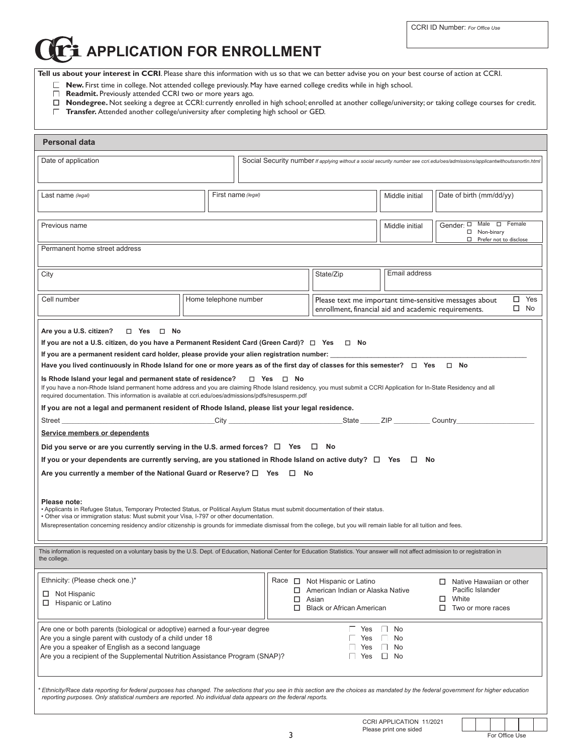CCRI ID Number: *For Office Use*

## **APPLICATION FOR ENROLLMENT**

**Tell us about your interest in CCRI**. Please share this information with us so that we can better advise you on your best course of action at CCRI.

**New.** First time in college. Not attended college previously. May have earned college credits while in high school.

- **Readmit.** Previously attended CCRI two or more years ago.
- **Nondegree.** Not seeking a degree at CCRI: currently enrolled in high school; enrolled at another college/university; or taking college courses for credit.
- **Transfer.** Attended another college/university after completing high school or GED.

| <b>Personal data</b>                                                                                                                                                                                                                                                                                                                                                                                                                                                                                                                                                                                                |                                                                                                                                         |                            |                                                                                                         |                |                                                                                                                               |  |  |
|---------------------------------------------------------------------------------------------------------------------------------------------------------------------------------------------------------------------------------------------------------------------------------------------------------------------------------------------------------------------------------------------------------------------------------------------------------------------------------------------------------------------------------------------------------------------------------------------------------------------|-----------------------------------------------------------------------------------------------------------------------------------------|----------------------------|---------------------------------------------------------------------------------------------------------|----------------|-------------------------------------------------------------------------------------------------------------------------------|--|--|
| Date of application                                                                                                                                                                                                                                                                                                                                                                                                                                                                                                                                                                                                 |                                                                                                                                         |                            |                                                                                                         |                | Social Security number if applying without a social security number see ccri.edu/oes/admissions/applicantwithoutssnortin.html |  |  |
| Last name (legal)                                                                                                                                                                                                                                                                                                                                                                                                                                                                                                                                                                                                   | First name (legal)                                                                                                                      |                            |                                                                                                         | Middle initial | Date of birth (mm/dd/yy)                                                                                                      |  |  |
| Previous name                                                                                                                                                                                                                                                                                                                                                                                                                                                                                                                                                                                                       |                                                                                                                                         |                            |                                                                                                         | Middle initial | Gender: $\Box$ Male $\Box$ Female<br>□ Non-binary<br>$\Box$ Prefer not to disclose                                            |  |  |
| Permanent home street address                                                                                                                                                                                                                                                                                                                                                                                                                                                                                                                                                                                       |                                                                                                                                         |                            |                                                                                                         |                |                                                                                                                               |  |  |
| City                                                                                                                                                                                                                                                                                                                                                                                                                                                                                                                                                                                                                |                                                                                                                                         |                            | Email address<br>State/Zip                                                                              |                |                                                                                                                               |  |  |
| Cell number                                                                                                                                                                                                                                                                                                                                                                                                                                                                                                                                                                                                         | Home telephone number<br>Please text me important time-sensitive messages about<br>enrollment, financial aid and academic requirements. |                            |                                                                                                         |                | $\square$ Yes<br>$\square$ No                                                                                                 |  |  |
| Are you a U.S. citizen?<br>$\Box$ Yes $\Box$ No<br>If you are not a U.S. citizen, do you have a Permanent Resident Card (Green Card)? $\Box$ Yes $\Box$ No<br>If you are a permanent resident card holder, please provide your alien registration number:                                                                                                                                                                                                                                                                                                                                                           |                                                                                                                                         |                            |                                                                                                         |                |                                                                                                                               |  |  |
| Have you lived continuously in Rhode Island for one or more years as of the first day of classes for this semester? $\Box$ Yes $\Box$ No<br>Is Rhode Island your legal and permanent state of residence?<br>$\Box$ Yes $\Box$ No<br>If you have a non-Rhode Island permanent home address and you are claiming Rhode Island residency, you must submit a CCRI Application for In-State Residency and all<br>required documentation. This information is available at ccri.edu/oes/admissions/pdfs/resusperm.pdf<br>If you are not a legal and permanent resident of Rhode Island, please list your legal residence. |                                                                                                                                         |                            |                                                                                                         |                |                                                                                                                               |  |  |
| Street Country City City State ZIP Country Country Country Country Country Country Country Country Country Country Country Country Country Country Country Country Country Country Country Country Country Country Country Cou<br><b>Service members or dependents</b><br>Did you serve or are you currently serving in the U.S. armed forces? $\Box$ Yes $\Box$ No                                                                                                                                                                                                                                                 |                                                                                                                                         |                            |                                                                                                         |                |                                                                                                                               |  |  |
| If you or your dependents are currently serving, are you stationed in Rhode Island on active duty? $\Box$ Yes $\Box$ No<br>Are you currently a member of the National Guard or Reserve? $\square$ Yes $\square$ No                                                                                                                                                                                                                                                                                                                                                                                                  |                                                                                                                                         |                            |                                                                                                         |                |                                                                                                                               |  |  |
| Please note:<br>. Applicants in Refugee Status, Temporary Protected Status, or Political Asylum Status must submit documentation of their status.<br>. Other visa or immigration status: Must submit your Visa, I-797 or other documentation.<br>Misrepresentation concerning residency and/or citizenship is grounds for immediate dismissal from the college, but you will remain liable for all tuition and fees.                                                                                                                                                                                                |                                                                                                                                         |                            |                                                                                                         |                |                                                                                                                               |  |  |
| This information is requested on a voluntary basis by the U.S. Dept. of Education, National Center for Education Statistics. Your answer will not affect admission to or registration in<br>the college.                                                                                                                                                                                                                                                                                                                                                                                                            |                                                                                                                                         |                            |                                                                                                         |                |                                                                                                                               |  |  |
| Ethnicity: (Please check one.)*<br>$\Box$ Not Hispanic<br>$\Box$ Hispanic or Latino                                                                                                                                                                                                                                                                                                                                                                                                                                                                                                                                 |                                                                                                                                         | Race $\Box$<br>□<br>□<br>□ | Not Hispanic or Latino<br>American Indian or Alaska Native<br>Asian<br><b>Black or African American</b> |                | $\Box$ Native Hawaiian or other<br>Pacific Islander<br>White<br>□<br>Two or more races                                        |  |  |
| Are one or both parents (biological or adoptive) earned a four-year degree<br>Yes<br>$\Box$<br>No<br>Are you a single parent with custody of a child under 18<br>Yes<br>No<br>Are you a speaker of English as a second language<br>Yes<br>No<br>Are you a recipient of the Supplemental Nutrition Assistance Program (SNAP)?<br>Yes<br>n.<br>No                                                                                                                                                                                                                                                                     |                                                                                                                                         |                            |                                                                                                         |                |                                                                                                                               |  |  |
| * Ethnicity/Race data reporting for federal purposes has changed. The selections that you see in this section are the choices as mandated by the federal government for higher education<br>reporting purposes. Only statistical numbers are reported. No individual data appears on the federal reports.                                                                                                                                                                                                                                                                                                           |                                                                                                                                         |                            |                                                                                                         |                |                                                                                                                               |  |  |

CCRI APPLICATION 11/2021 Please print one sided

For Office Use

3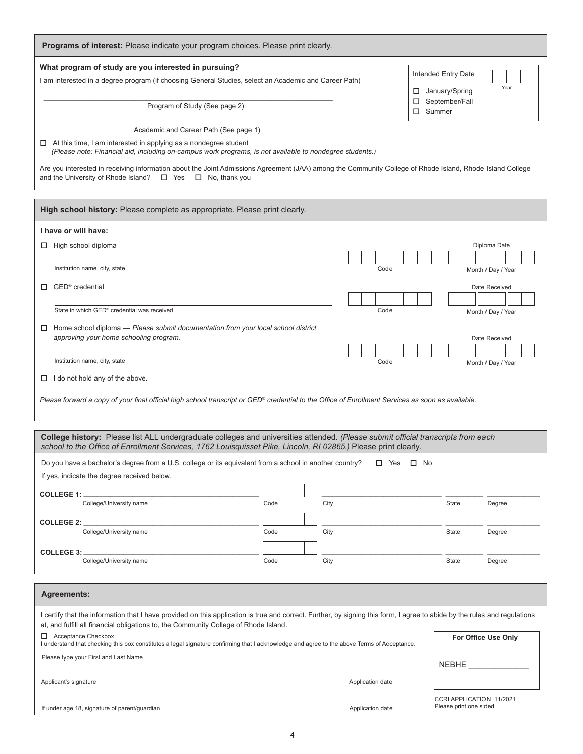| Programs of interest: Please indicate your program choices. Please print clearly.                                                                                                                                                                                 |      |  |      |                      |                  |                                  |                          |
|-------------------------------------------------------------------------------------------------------------------------------------------------------------------------------------------------------------------------------------------------------------------|------|--|------|----------------------|------------------|----------------------------------|--------------------------|
| What program of study are you interested in pursuing?                                                                                                                                                                                                             |      |  |      |                      |                  |                                  |                          |
| I am interested in a degree program (if choosing General Studies, select an Academic and Career Path)                                                                                                                                                             |      |  |      |                      |                  | Intended Entry Date              | Year                     |
|                                                                                                                                                                                                                                                                   |      |  |      |                      | ц<br>□           | January/Spring<br>September/Fall |                          |
| Program of Study (See page 2)                                                                                                                                                                                                                                     |      |  |      |                      | $\square$ Summer |                                  |                          |
| Academic and Career Path (See page 1)                                                                                                                                                                                                                             |      |  |      |                      |                  |                                  |                          |
| $\Box$ At this time, I am interested in applying as a nondegree student                                                                                                                                                                                           |      |  |      |                      |                  |                                  |                          |
| (Please note: Financial aid, including on-campus work programs, is not available to nondegree students.)                                                                                                                                                          |      |  |      |                      |                  |                                  |                          |
| Are you interested in receiving information about the Joint Admissions Agreement (JAA) among the Community College of Rhode Island, Rhode Island College                                                                                                          |      |  |      |                      |                  |                                  |                          |
| and the University of Rhode Island? $\Box$ Yes $\Box$ No, thank you                                                                                                                                                                                               |      |  |      |                      |                  |                                  |                          |
| High school history: Please complete as appropriate. Please print clearly.                                                                                                                                                                                        |      |  |      |                      |                  |                                  |                          |
| I have or will have:                                                                                                                                                                                                                                              |      |  |      |                      |                  |                                  |                          |
| High school diploma                                                                                                                                                                                                                                               |      |  |      |                      |                  |                                  | Diploma Date             |
|                                                                                                                                                                                                                                                                   |      |  |      |                      |                  |                                  |                          |
| Institution name, city, state                                                                                                                                                                                                                                     |      |  |      | Code                 |                  |                                  | Month / Day / Year       |
| GED <sup>®</sup> credential<br>П                                                                                                                                                                                                                                  |      |  |      |                      |                  |                                  | Date Received            |
| State in which GED® credential was received                                                                                                                                                                                                                       |      |  |      | Code                 |                  |                                  |                          |
|                                                                                                                                                                                                                                                                   |      |  |      |                      |                  |                                  | Month / Day / Year       |
| $\Box$ Home school diploma - Please submit documentation from your local school district<br>approving your home schooling program.                                                                                                                                |      |  |      |                      |                  |                                  | Date Received            |
|                                                                                                                                                                                                                                                                   |      |  |      |                      |                  |                                  |                          |
| Institution name, city, state                                                                                                                                                                                                                                     |      |  |      | Code                 |                  |                                  | Month / Day / Year       |
| $\Box$ I do not hold any of the above.                                                                                                                                                                                                                            |      |  |      |                      |                  |                                  |                          |
| Please forward a copy of your final official high school transcript or GED® credential to the Office of Enrollment Services as soon as available.                                                                                                                 |      |  |      |                      |                  |                                  |                          |
|                                                                                                                                                                                                                                                                   |      |  |      |                      |                  |                                  |                          |
|                                                                                                                                                                                                                                                                   |      |  |      |                      |                  |                                  |                          |
| College history: Please list ALL undergraduate colleges and universities attended. (Please submit official transcripts from each<br>school to the Office of Enrollment Services, 1762 Louisquisset Pike, Lincoln, RI 02865.) Please print clearly.                |      |  |      |                      |                  |                                  |                          |
| Do you have a bachelor's degree from a U.S. college or its equivalent from a school in another country?                                                                                                                                                           |      |  |      | $\Box$ Yes $\Box$ No |                  |                                  |                          |
| If yes, indicate the degree received below.                                                                                                                                                                                                                       |      |  |      |                      |                  |                                  |                          |
| COLLEGE 1: ______________                                                                                                                                                                                                                                         |      |  |      |                      |                  |                                  |                          |
| College/University name                                                                                                                                                                                                                                           | Code |  | City |                      |                  | State                            | Degree                   |
| <b>COLLEGE 2: _</b>                                                                                                                                                                                                                                               |      |  |      |                      |                  |                                  |                          |
| College/University name                                                                                                                                                                                                                                           | Code |  | City |                      |                  | State                            | Degree                   |
| COLLEGE 3:                                                                                                                                                                                                                                                        |      |  |      |                      |                  |                                  |                          |
| College/University name                                                                                                                                                                                                                                           | Code |  | City |                      |                  | State                            | Degree                   |
|                                                                                                                                                                                                                                                                   |      |  |      |                      |                  |                                  |                          |
| <b>Agreements:</b>                                                                                                                                                                                                                                                |      |  |      |                      |                  |                                  |                          |
| I certify that the information that I have provided on this application is true and correct. Further, by signing this form, I agree to abide by the rules and regulations<br>at, and fulfill all financial obligations to, the Community College of Rhode Island. |      |  |      |                      |                  |                                  |                          |
| $\Box$ Acceptance Checkbox<br>I understand that checking this box constitutes a legal signature confirming that I acknowledge and agree to the above Terms of Acceptance.                                                                                         |      |  |      |                      |                  |                                  | For Office Use Only      |
| Please type your First and Last Name                                                                                                                                                                                                                              |      |  |      |                      |                  |                                  |                          |
|                                                                                                                                                                                                                                                                   |      |  |      |                      |                  | <b>NEBHE</b>                     |                          |
| Applicant's signature                                                                                                                                                                                                                                             |      |  |      | Application date     |                  |                                  |                          |
|                                                                                                                                                                                                                                                                   |      |  |      |                      |                  | Please print one sided           | CCRI APPLICATION 11/2021 |
| If under age 18, signature of parent/guardian                                                                                                                                                                                                                     |      |  |      | Application date     |                  |                                  |                          |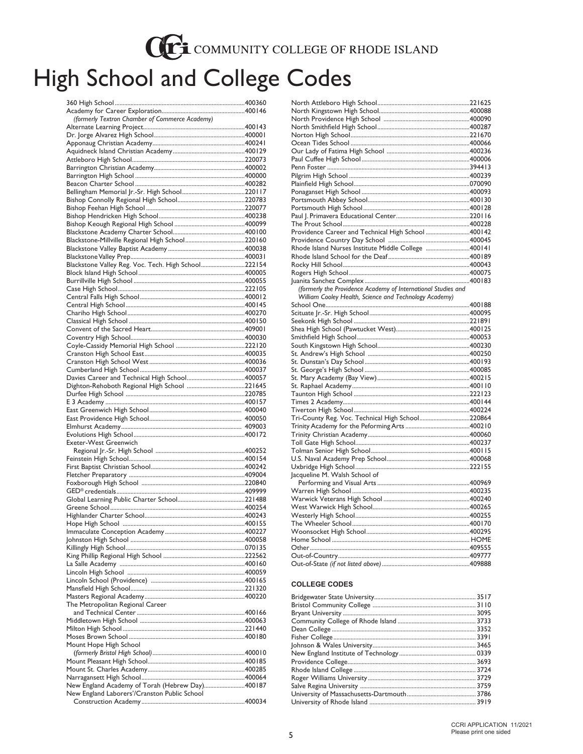## CCE COMMUNITY COLLEGE OF RHODE ISLAND

# High School and College Codes

| (formerly Textron Chamber of Commerce Academy)      |  |
|-----------------------------------------------------|--|
|                                                     |  |
|                                                     |  |
|                                                     |  |
|                                                     |  |
|                                                     |  |
|                                                     |  |
|                                                     |  |
|                                                     |  |
|                                                     |  |
|                                                     |  |
|                                                     |  |
|                                                     |  |
|                                                     |  |
|                                                     |  |
| Blackstone Valley Reg. Voc. Tech. High School222154 |  |
|                                                     |  |
|                                                     |  |
|                                                     |  |
|                                                     |  |
|                                                     |  |
|                                                     |  |
|                                                     |  |
|                                                     |  |
|                                                     |  |
|                                                     |  |
|                                                     |  |
|                                                     |  |
|                                                     |  |
|                                                     |  |
|                                                     |  |
|                                                     |  |
|                                                     |  |
|                                                     |  |
|                                                     |  |
|                                                     |  |
| <b>Exeter-West Greenwich</b>                        |  |
|                                                     |  |
|                                                     |  |
|                                                     |  |
|                                                     |  |
|                                                     |  |
|                                                     |  |
|                                                     |  |
|                                                     |  |
|                                                     |  |
|                                                     |  |
|                                                     |  |
|                                                     |  |
|                                                     |  |
|                                                     |  |
|                                                     |  |
|                                                     |  |
|                                                     |  |
| The Metropolitan Regional Career                    |  |
|                                                     |  |
|                                                     |  |
|                                                     |  |
| Mount Hope High School                              |  |
|                                                     |  |
|                                                     |  |
|                                                     |  |
| New England Academy of Torah (Hebrew Day)400187     |  |
| New England Laborers'/Cranston Public School        |  |

| Providence Career and Technical High School 400142            |  |
|---------------------------------------------------------------|--|
|                                                               |  |
|                                                               |  |
|                                                               |  |
|                                                               |  |
|                                                               |  |
|                                                               |  |
| (formerly the Providence Academy of International Studies and |  |
| William Cooley Health, Science and Technology Academy)        |  |
|                                                               |  |
|                                                               |  |
|                                                               |  |
|                                                               |  |
|                                                               |  |
|                                                               |  |
|                                                               |  |
|                                                               |  |
|                                                               |  |
|                                                               |  |
|                                                               |  |
|                                                               |  |
|                                                               |  |
|                                                               |  |
| Tri-County Reg. Voc. Technical High School220864              |  |
|                                                               |  |
|                                                               |  |
|                                                               |  |
|                                                               |  |
|                                                               |  |
|                                                               |  |
| Jacqueline M. Walsh School of                                 |  |
|                                                               |  |
|                                                               |  |
|                                                               |  |
|                                                               |  |
|                                                               |  |
|                                                               |  |
|                                                               |  |
|                                                               |  |
|                                                               |  |
|                                                               |  |
|                                                               |  |

### **COLLEGE CODES**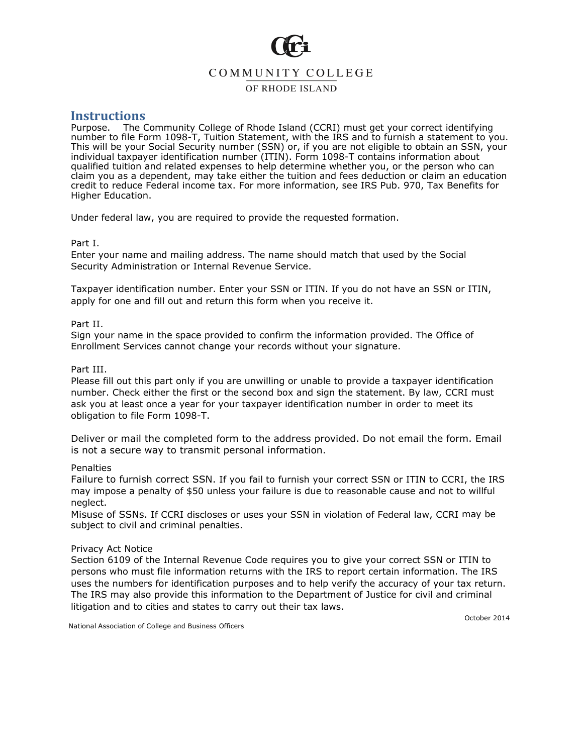## COMMUNITY COLLEGE

OF RHODE ISLAND

## **Instructions**

The Community College of Rhode Island (CCRI) must get your correct identifying number to file Form 1098-T, Tuition Statement, with the IRS and to furnish a statement to you. This will be your Social Security number (SSN) or, if you are not eligible to obtain an SSN, your individual taxpayer identification number (ITIN). Form 1098-T contains information about qualified tuition and related expenses to help determine whether you, or the person who can claim you as a dependent, may take either the tuition and fees deduction or claim an education credit to reduce Federal income tax. For more information, see IRS Pub. 970, Tax Benefits for Higher Education.

Under federal law, you are required to provide the requested formation.

## Part I.

Enter your name and mailing address. The name should match that used by the Social Security Administration or Internal Revenue Service.

Taxpayer identification number. Enter your SSN or ITIN. If you do not have an SSN or ITIN, apply for one and fill out and return this form when you receive it.

## Part II.

Sign your name in the space provided to confirm the information provided. The Office of Enrollment Services cannot change your records without your signature.

## Part III.

Please fill out this part only if you are unwilling or unable to provide a taxpayer identification number. Check either the first or the second box and sign the statement. By law, CCRI must ask you at least once a year for your taxpayer identification number in order to meet its obligation to file Form 1098-T.

Deliver or mail the completed form to the address provided. Do not email the form. Email is not a secure way to transmit personal information.

### **Penalties**

Failure to furnish correct SSN. If you fail to furnish your correct SSN or ITIN to CCRI, the IRS may impose a penalty of \$50 unless your failure is due to reasonable cause and not to willful neglect.

Misuse of SSNs. If CCRI discloses or uses your SSN in violation of Federal law, CCRI may be subject to civil and criminal penalties.

## Privacy Act Notice

Section 6109 of the Internal Revenue Code requires you to give your correct SSN or ITIN to persons who must file information returns with the IRS to report certain information. The IRS uses the numbers for identification purposes and to help verify the accuracy of your tax return. The IRS may also provide this information to the Department of Justice for civil and criminal litigation and to cities and states to carry out their tax laws.

October 2014

National Association of College and Business Officers